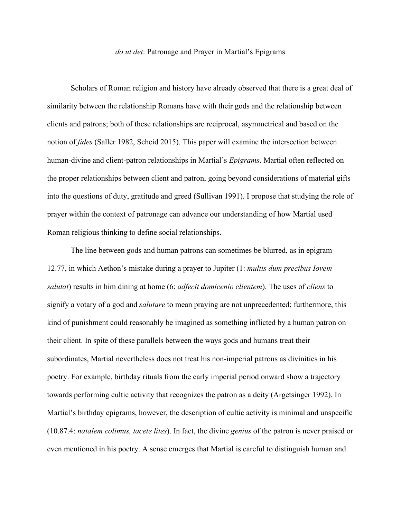## *do ut det*: Patronage and Prayer in Martial's Epigrams

Scholars of Roman religion and history have already observed that there is a great deal of similarity between the relationship Romans have with their gods and the relationship between clients and patrons; both of these relationships are reciprocal, asymmetrical and based on the notion of *fides* (Saller 1982, Scheid 2015). This paper will examine the intersection between human-divine and client-patron relationships in Martial's *Epigrams*. Martial often reflected on the proper relationships between client and patron, going beyond considerations of material gifts into the questions of duty, gratitude and greed (Sullivan 1991). I propose that studying the role of prayer within the context of patronage can advance our understanding of how Martial used Roman religious thinking to define social relationships.

The line between gods and human patrons can sometimes be blurred, as in epigram 12.77, in which Aethon's mistake during a prayer to Jupiter (1: *multis dum precibus Iovem salutat*) results in him dining at home (6: *adfecit domicenio clientem*). The uses of *cliens* to signify a votary of a god and *salutare* to mean praying are not unprecedented; furthermore, this kind of punishment could reasonably be imagined as something inflicted by a human patron on their client. In spite of these parallels between the ways gods and humans treat their subordinates, Martial nevertheless does not treat his non-imperial patrons as divinities in his poetry. For example, birthday rituals from the early imperial period onward show a trajectory towards performing cultic activity that recognizes the patron as a deity (Argetsinger 1992). In Martial's birthday epigrams, however, the description of cultic activity is minimal and unspecific (10.87.4: *natalem colimus, tacete lites*). In fact, the divine *genius* of the patron is never praised or even mentioned in his poetry. A sense emerges that Martial is careful to distinguish human and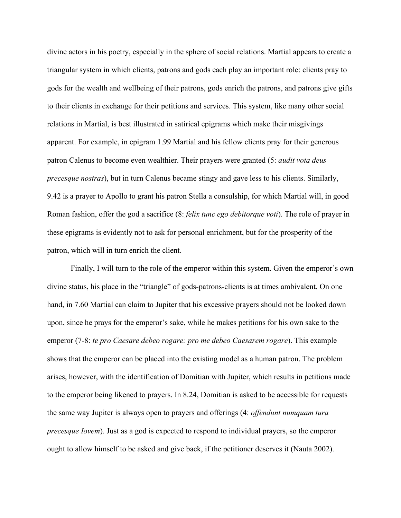divine actors in his poetry, especially in the sphere of social relations. Martial appears to create a triangular system in which clients, patrons and gods each play an important role: clients pray to gods for the wealth and wellbeing of their patrons, gods enrich the patrons, and patrons give gifts to their clients in exchange for their petitions and services. This system, like many other social relations in Martial, is best illustrated in satirical epigrams which make their misgivings apparent. For example, in epigram 1.99 Martial and his fellow clients pray for their generous patron Calenus to become even wealthier. Their prayers were granted (5: *audit vota deus precesque nostras*), but in turn Calenus became stingy and gave less to his clients. Similarly, 9.42 is a prayer to Apollo to grant his patron Stella a consulship, for which Martial will, in good Roman fashion, offer the god a sacrifice (8: *felix tunc ego debitorque voti*). The role of prayer in these epigrams is evidently not to ask for personal enrichment, but for the prosperity of the patron, which will in turn enrich the client.

Finally, I will turn to the role of the emperor within this system. Given the emperor's own divine status, his place in the "triangle" of gods-patrons-clients is at times ambivalent. On one hand, in 7.60 Martial can claim to Jupiter that his excessive prayers should not be looked down upon, since he prays for the emperor's sake, while he makes petitions for his own sake to the emperor (7-8: *te pro Caesare debeo rogare: pro me debeo Caesarem rogare*). This example shows that the emperor can be placed into the existing model as a human patron. The problem arises, however, with the identification of Domitian with Jupiter, which results in petitions made to the emperor being likened to prayers. In 8.24, Domitian is asked to be accessible for requests the same way Jupiter is always open to prayers and offerings (4: *offendunt numquam tura precesque Iovem*). Just as a god is expected to respond to individual prayers, so the emperor ought to allow himself to be asked and give back, if the petitioner deserves it (Nauta 2002).